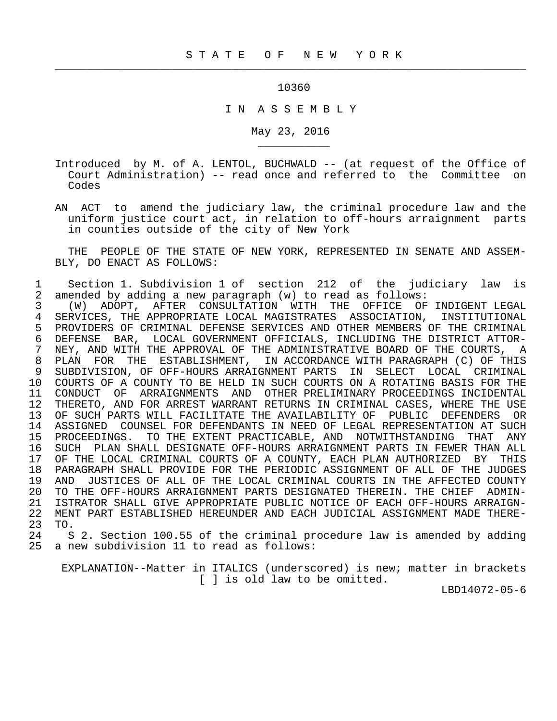$\frac{1}{2}$  , and the contribution of the contribution of the contribution of the contribution of the contribution of the contribution of the contribution of the contribution of the contribution of the contribution of the c

\_\_\_\_\_\_\_\_\_\_\_

10360

I N A S S E M B L Y

May 23, 2016

- Introduced by M. of A. LENTOL, BUCHWALD -- (at request of the Office of Court Administration) -- read once and referred to the Committee on Codes
- AN ACT to amend the judiciary law, the criminal procedure law and the uniform justice court act, in relation to off-hours arraignment parts in counties outside of the city of New York

 THE PEOPLE OF THE STATE OF NEW YORK, REPRESENTED IN SENATE AND ASSEM- BLY, DO ENACT AS FOLLOWS:

 1 Section 1. Subdivision 1 of section 212 of the judiciary law is 2 amended by adding a new paragraph (w) to read as follows:<br>3 (W) ADOPT, AFTER CONSULTATION WITH THE OFFICE OF

 3 (W) ADOPT, AFTER CONSULTATION WITH THE OFFICE OF INDIGENT LEGAL 4 SERVICES, THE APPROPRIATE LOCAL MAGISTRATES ASSOCIATION, INSTITUTIONAL<br>5 PROVIDERS OF CRIMINAL DEFENSE SERVICES AND OTHER MEMBERS OF THE CRIMINAL 5 PROVIDERS OF CRIMINAL DEFENSE SERVICES AND OTHER MEMBERS OF THE CRIMINAL 6 DEFENSE BAR, LOCAL GOVERNMENT OFFICIALS, INCLUDING THE DISTRICT ATTOR- 7 NEY, AND WITH THE APPROVAL OF THE ADMINISTRATIVE BOARD OF THE COURTS, A<br>8 PLAN FOR THE ESTABLISHMENT, IN ACCORDANCE WITH PARAGRAPH (C) OF THIS 8 PLAN FOR THE ESTABLISHMENT, IN ACCORDANCE WITH PARAGRAPH (C) OF THIS<br>9 SUBDIVISION, OF OFF-HOURS ARRAIGNMENT PARTS IN SELECT LOCAL CRIMINAL 9 SUBDIVISION, OF OFF-HOURS ARRAIGNMENT PARTS IN SELECT LOCAL CRIMINAL 10 COURTS OF A COUNTY TO BE HELD IN SUCH COURTS ON A ROTATING BASIS FOR THE 11 CONDUCT OF ARRAIGNMENTS AND OTHER PRELIMINARY PROCEEDINGS INCIDENTAL<br>12 THERETO, AND FOR ARREST WARRANT RETURNS IN CRIMINAL CASES, WHERE THE USE 12 THERETO, AND FOR ARREST WARRANT RETURNS IN CRIMINAL CASES, WHERE THE USE<br>13 OF SUCH PARTS WILL FACILITATE THE AVAILABILITY OF PUBLIC DEFENDERS OR 13 OF SUCH PARTS WILL FACILITATE THE AVAILABILITY OF PUBLIC DEFENDERS OR<br>14 ASSIGNED COUNSEL FOR DEFENDANTS IN NEED OF LEGAL REPRESENTATION AT SUCH 14 ASSIGNED COUNSEL FOR DEFENDANTS IN NEED OF LEGAL REPRESENTATION AT SUCH 15 PROCEEDINGS. TO THE EXTENT PRACTICABLE, AND NOTWITHSTANDING THAT ANY 15 PROCEEDINGS. TO THE EXTENT PRACTICABLE, AND NOTWITHSTANDING THAT ANY 16 SUCH PLAN SHALL DESIGNATE OFF-HOURS ARRAIGNMENT PARTS IN FEWER THAN ALL 17 OF THE LOCAL CRIMINAL COURTS OF A COUNTY, EACH PLAN AUTHORIZED BY THIS<br>18 PARAGRAPH SHALL PROVIDE FOR THE PERIODIC ASSIGNMENT OF ALL OF THE JUDGES 18 PARAGRAPH SHALL PROVIDE FOR THE PERIODIC ASSIGNMENT OF ALL OF THE JUDGES<br>19 AND JUSTICES OF ALL OF THE LOCAL CRIMINAL COURTS IN THE AFFECTED COUNTY 19 AND JUSTICES OF ALL OF THE LOCAL CRIMINAL COURTS IN THE AFFECTED COUNTY<br>20 TO THE OFF-HOURS ARRAIGNMENT PARTS DESIGNATED THEREIN. THE CHIEF ADMIN- 20 TO THE OFF-HOURS ARRAIGNMENT PARTS DESIGNATED THEREIN. THE CHIEF ADMIN- 21 ISTRATOR SHALL GIVE APPROPRIATE PUBLIC NOTICE OF EACH OFF-HOURS ARRAIGN-<br>22 MENT PART ESTABLISHED HEREUNDER AND EACH JUDICIAL ASSIGNMENT MADE THERE-22 MENT PART ESTABLISHED HEREUNDER AND EACH JUDICIAL ASSIGNMENT MADE THERE-<br>23 TO. 23 TO.<br>24 S

24 S 2. Section 100.55 of the criminal procedure law is amended by adding<br>25 a new subdivision 11 to read as follows: a new subdivision 11 to read as follows:

 EXPLANATION--Matter in ITALICS (underscored) is new; matter in brackets [ ] is old law to be omitted.

LBD14072-05-6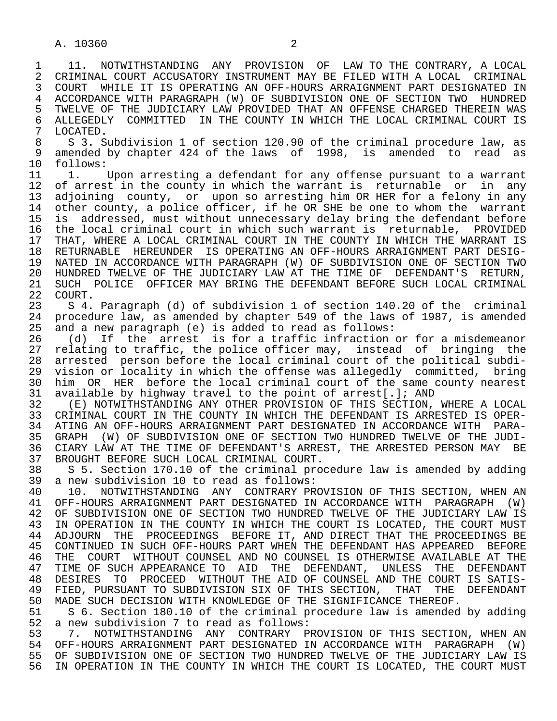1 11. NOTWITHSTANDING ANY PROVISION OF LAW TO THE CONTRARY, A LOCAL<br>2 CRIMINAL COURT ACCUSATORY INSTRUMENT MAY BE FILED WITH A LOCAL CRIMINAL 2 CRIMINAL COURT ACCUSATORY INSTRUMENT MAY BE FILED WITH A LOCAL CRIMINAL<br>3 COURT WHILE IT IS OPERATING AN OFF-HOURS ARRAIGNMENT PART DESIGNATED IN 3 COURT WHILE IT IS OPERATING AN OFF-HOURS ARRAIGNMENT PART DESIGNATED IN 4 ACCORDANCE WITH PARAGRAPH (W) OF SUBDIVISION ONE OF SECTION TWO HUNDRED<br>5 TWELVE OF THE JUDICIARY LAW PROVIDED THAT AN OFFENSE CHARGED THEREIN WAS 5 TWELVE OF THE JUDICIARY LAW PROVIDED THAT AN OFFENSE CHARGED THEREIN WAS<br>6 ALLEGEDLY COMMITTED IN THE COUNTY IN WHICH THE LOCAL CRIMINAL COURT IS 6 ALLEGEDLY COMMITTED IN THE COUNTY IN WHICH THE LOCAL CRIMINAL COURT IS<br>7 LOCATED. 7 LOCATED.<br>8 S 3 S

8 S 3. Subdivision 1 of section 120.90 of the criminal procedure law, as<br>9 amended by chapter 424 of the laws of 1998, is amended to read as 9 amended by chapter 424 of the laws of 1998, is amended to read as 10 follows: 10 follows:<br>11 1.

11 1. Upon arresting a defendant for any offense pursuant to a warrant<br>12 of arrest in the county in which the warrant is returnable or in any 12 of arrest in the county in which the warrant is returnable or in any<br>13 adjoining county, or upon so arresting him OR HER for a felony in any 13 adjoining county, or upon so arresting him OR HER for a felony in any<br>14 other county, a police officer, if he OR SHE be one to whom the warrant other county, a police officer, if he OR SHE be one to whom the warrant 15 is addressed, must without unnecessary delay bring the defendant before 16 the local criminal court in which such warrant is returnable, PROVIDED<br>17 THAT, WHERE A LOCAL CRIMINAL COURT IN THE COUNTY IN WHICH THE WARRANT IS 17 THAT, WHERE A LOCAL CRIMINAL COURT IN THE COUNTY IN WHICH THE WARRANT IS<br>18 RETURNABLE HEREUNDER IS OPERATING AN OFF-HOURS ARRAIGNMENT PART DESIG- 18 RETURNABLE HEREUNDER IS OPERATING AN OFF-HOURS ARRAIGNMENT PART DESIG- 19 NATED IN ACCORDANCE WITH PARAGRAPH (W) OF SUBDIVISION ONE OF SECTION TWO<br>20 HUNDRED TWELVE OF THE JUDICIARY LAW AT THE TIME OF DEFENDANT'S RETURN. 20 HUNDRED TWELVE OF THE JUDICIARY LAW AT THE TIME OF DEFENDANT'S RETURN,<br>21 SUCH POLICE OFFICER MAY BRING THE DEFENDANT BEFORE SUCH LOCAL CRIMINAL 21 SUCH POLICE OFFICER MAY BRING THE DEFENDANT BEFORE SUCH LOCAL CRIMINAL 22 COURT. 22 COURT.<br>23 S 4.

 23 S 4. Paragraph (d) of subdivision 1 of section 140.20 of the criminal 24 procedure law, as amended by chapter 549 of the laws of 1987, is amended<br>25 and a new paragraph (e) is added to read as follows: and a new paragraph (e) is added to read as follows:

26 (d) If the arrest is for a traffic infraction or for a misdemeanor<br>27 relating to traffic, the police officer may, instead of bringing the 27 relating to traffic, the police officer may, instead of bringing the<br>28 arrested person before the local criminal court of the political subdi-28 arrested person before the local criminal court of the political subdi-<br>29 vision or locality in which the offense was allegedly committed, bring 29 vision or locality in which the offense was allegedly committed, bring<br>30 him OR HER before the local criminal court of the same county nearest 30 him OR HER before the local criminal court of the same county nearest<br>31 available by highway travel to the point of arrest[.]; AND 31 available by highway travel to the point of arrest[.]; AND<br>32 (E) NOTWITHSTANDING ANY OTHER PROVISION OF THIS SECTION.

32 (E) NOTWITHSTANDING ANY OTHER PROVISION OF THIS SECTION, WHERE A LOCAL<br>33 CRIMINAL COURT IN THE COUNTY IN WHICH THE DEFENDANT IS ARRESTED IS OPER-33 CRIMINAL COURT IN THE COUNTY IN WHICH THE DEFENDANT IS ARRESTED IS OPER-<br>34 ATING AN OFF-HOURS ARRAIGNMENT PART DESIGNATED IN ACCORDANCE WITH PARA-34 ATING AN OFF-HOURS ARRAIGNMENT PART DESIGNATED IN ACCORDANCE WITH PARA-<br>35 GRAPH (W) OF SUBDIVISION ONE OF SECTION TWO HUNDRED TWELVE OF THE JUDI-35 GRAPH (W) OF SUBDIVISION ONE OF SECTION TWO HUNDRED TWELVE OF THE JUDI-<br>36 CIARY LAW AT THE TIME OF DEFENDANT'S ARREST, THE ARRESTED PERSON MAY BE CIARY LAW AT THE TIME OF DEFENDANT'S ARREST, THE ARRESTED PERSON MAY BE 37 BROUGHT BEFORE SUCH LOCAL CRIMINAL COURT.<br>38 S 5. Section 170.10 of the criminal pro

38 S 5. Section 170.10 of the criminal procedure law is amended by adding<br>39 a new subdivision 10 to read as follows: 39 a new subdivision 10 to read as follows:<br>40 10. NOTWITHSTANDING ANY CONTRARY PR

40 10. NOTWITHSTANDING ANY CONTRARY PROVISION OF THIS SECTION, WHEN AN<br>41 OFF-HOURS ARRAIGNMENT PART DESIGNATED IN ACCORDANCE WITH PARAGRAPH (W) 41 OFF-HOURS ARRAIGNMENT PART DESIGNATED IN ACCORDANCE WITH PARAGRAPH (W)<br>42 OF SUBDIVISION ONE OF SECTION TWO HUNDRED TWELVE OF THE JUDICIARY LAW IS 42 OF SUBDIVISION ONE OF SECTION TWO HUNDRED TWELVE OF THE JUDICIARY LAW IS<br>43 IN OPERATION IN THE COUNTY IN WHICH THE COURT IS LOCATED. THE COURT MUST 43 IN OPERATION IN THE COUNTY IN WHICH THE COURT IS LOCATED, THE COURT MUST<br>44 ADJOURN THE PROCEEDINGS BEFORE IT, AND DIRECT THAT THE PROCEEDINGS BE 44 ADJOURN THE PROCEEDINGS BEFORE IT, AND DIRECT THAT THE PROCEEDINGS BE 45 CONTINUED IN SUCH OFF-HOURS PART WHEN THE DEFENDANT HAS APPEARED BEFORE 45 CONTINUED IN SUCH OFF-HOURS PART WHEN THE DEFENDANT HAS APPEARED BEFORE 46 THE COURT WITHOUT COUNSEL AND NO COUNSEL IS OTHERWISE AVAILABLE AT THE 1999 AT THE SUCH APPEARANCE TO AID THE DEFENDANT. UNLESS THE DEFENDANT 47 TIME OF SUCH APPEARANCE TO AID THE DEFENDANT, UNLESS THE DEFENDANT<br>48 DESIRES TO PROCEED WITHOUT THE AID OF COUNSEL AND THE COURT IS SATIS-48 DESIRES TO PROCEED WITHOUT THE AID OF COUNSEL AND THE COURT IS SATIS-<br>49 FIED, PURSUANT TO SUBDIVISION SIX OF THIS SECTION, THAT THE DEFENDANT 49 FIED, PURSUANT TO SUBDIVISION SIX OF THIS SECTION, THAT<br>50 MADE SUCH DECISION WITH KNOWLEDGE OF THE SIGNIFICANCE THE 50 MADE SUCH DECISION WITH KNOWLEDGE OF THE SIGNIFICANCE THEREOF.<br>51 S 6. Section 180.10 of the criminal procedure law is amended

51 S 6. Section 180.10 of the criminal procedure law is amended by adding<br>52 a new subdivision 7 to read as follows: 52 a new subdivision 7 to read as follows:<br>53 3 7. NOTWITHSTANDING ANY CONTRARY P

53 53 7. NOTWITHSTANDING ANY CONTRARY PROVISION OF THIS SECTION, WHEN AN<br>54 OFF-HOURS ARRAIGNMENT PART DESIGNATED IN ACCORDANCE WITH PARAGRAPH (W) 54 OFF-HOURS ARRAIGNMENT PART DESIGNATED IN ACCORDANCE WITH PARAGRAPH (W)<br>55 OF SUBDIVISION ONE OF SECTION TWO HUNDRED TWELVE OF THE JUDICIARY LAW IS 55 OF SUBDIVISION ONE OF SECTION TWO HUNDRED TWELVE OF THE JUDICIARY LAW IS<br>56 IN OPERATION IN THE COUNTY IN WHICH THE COURT IS LOCATED, THE COURT MUST IN OPERATION IN THE COUNTY IN WHICH THE COURT IS LOCATED, THE COURT MUST